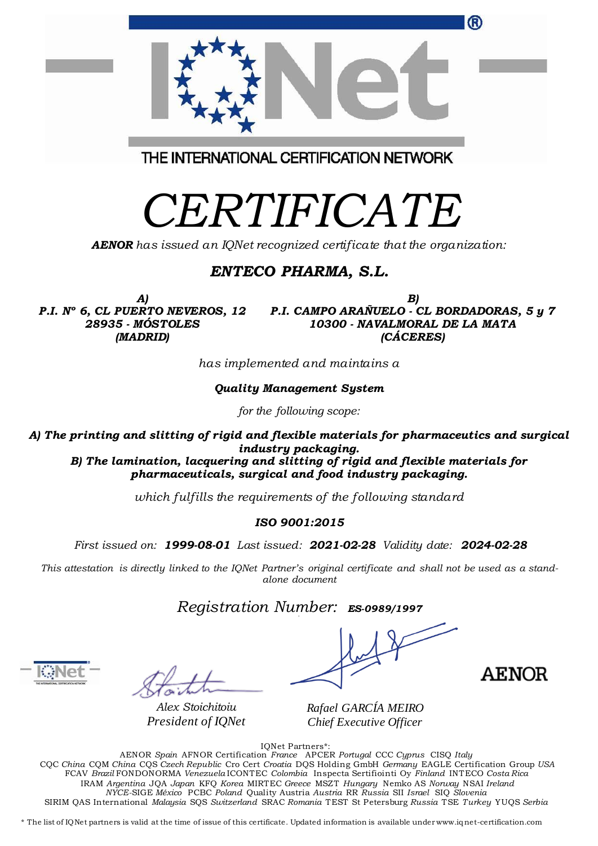| w                                                                                                    |
|------------------------------------------------------------------------------------------------------|
| THE INTERNATIONAL CERTIFICATION NETWORK                                                              |
| <i>CERTIFICATE</i><br><b>AENOR</b> has issued an IQNet recognized certificate that the organization: |

## *ENTECO PHARMA, S.L.*

*A) P.I. Nº 6, CL PUERTO NEVEROS, 12 28935 - MÓSTOLES (MADRID)*

*B) P.I. CAMPO ARAÑUELO - CL BORDADORAS, 5 y 7 10300 - NAVALMORAL DE LA MATA (CÁCERES)*

*has implemented and maintains a*

*Quality Management System*

*for the following scope:* 

*A) The printing and slitting of rigid and flexible materials for pharmaceutics and surgical industry packaging.*

*B) The lamination, lacquering and slitting of rigid and flexible materials for pharmaceuticals, surgical and food industry packaging.*

*which fulfills the requirements of the following standard*

#### *ISO 9001:2015*

*First issued on: 1999-08-01 Last issued: 2021-02-28 Validity date: 2024-02-28*

*This attestation is directly linked to the IQNet Partner's original certificate and shall not be used as a standalone document*

*Registration Number: ES-0989/1997* **a**

*Alex Stoichitoiu President of IQNet*

AENOR

*Rafael GARCÍA MEIRO Chief Executive Officer*

IQNet Partners\*:

AENOR *Spain* AFNOR Certification *France* APCER *Portugal* CCC *Cyprus* CISQ *Italy* CQC *China* CQM *China* CQS *Czech Republic* Cro Cert *Croatia* DQS Holding GmbH *Germany* EAGLE Certification Group *USA* FCAV *Brazil* FONDONORMA *Venezuela* ICONTEC *Colombia* Inspecta Sertifiointi Oy *Finland* INTECO *Costa Rica* IRAM *Argentina* JQA *Japan* KFQ *Korea* MIRTEC *Greece* MSZT *Hungary* Nemko AS *Norway* NSAI *Ireland NYCE-*SIGE *México* PCBC *Poland* Quality Austria *Austria* RR *Russia* SII *Israel* SIQ *Slovenia*  SIRIM QAS International *Malaysia* SQS *Switzerland* SRAC *Romania* TEST St Petersburg *Russia* TSE *Turkey* YUQS *Serbia*

\* The list of IQNet partners is valid at the time of issue of this certificate. Updated information is available under www.iqnet-certification.com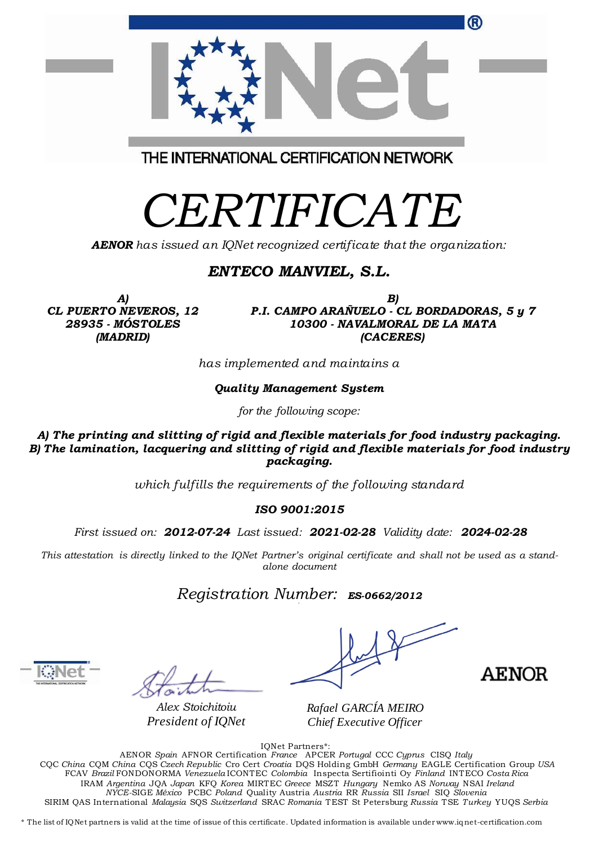| ®                                       |
|-----------------------------------------|
| THE INTERNATIONAL CERTIFICATION NETWORK |
| CERTIFICATE                             |

*AENOR has issued an IQNet recognized certificate that the organization:*

## *ENTECO MANVIEL, S.L.*

*A) CL PUERTO NEVEROS, 12 28935 - MÓSTOLES (MADRID)*

*B) P.I. CAMPO ARAÑUELO - CL BORDADORAS, 5 y 7 10300 - NAVALMORAL DE LA MATA (CACERES)*

*has implemented and maintains a*

*Quality Management System*

*for the following scope:* 

*A) The printing and slitting of rigid and flexible materials for food industry packaging. B) The lamination, lacquering and slitting of rigid and flexible materials for food industry packaging.* 

*which fulfills the requirements of the following standard*

#### *ISO 9001:2015*

*First issued on: 2012-07-24 Last issued: 2021-02-28 Validity date: 2024-02-28*

*This attestation is directly linked to the IQNet Partner's original certificate and shall not be used as a standalone document*

*Registration Number: ES-0662/2012*

*Alex Stoichitoiu President of IQNet*

**AENOR** 

*Rafael GARCÍA MEIRO Chief Executive Officer*

IQNet Partners\*:

AENOR *Spain* AFNOR Certification *France* APCER *Portugal* CCC *Cyprus* CISQ *Italy* CQC *China* CQM *China* CQS *Czech Republic* Cro Cert *Croatia* DQS Holding GmbH *Germany* EAGLE Certification Group *USA* FCAV *Brazil* FONDONORMA *Venezuela* ICONTEC *Colombia* Inspecta Sertifiointi Oy *Finland* INTECO *Costa Rica* IRAM *Argentina* JQA *Japan* KFQ *Korea* MIRTEC *Greece* MSZT *Hungary* Nemko AS *Norway* NSAI *Ireland NYCE-*SIGE *México* PCBC *Poland* Quality Austria *Austria* RR *Russia* SII *Israel* SIQ *Slovenia*  SIRIM QAS International *Malaysia* SQS *Switzerland* SRAC *Romania* TEST St Petersburg *Russia* TSE *Turkey* YUQS *Serbia*

\* The list of IQNet partners is valid at the time of issue of this certificate. Updated information is available under www.iqnet-certification.com